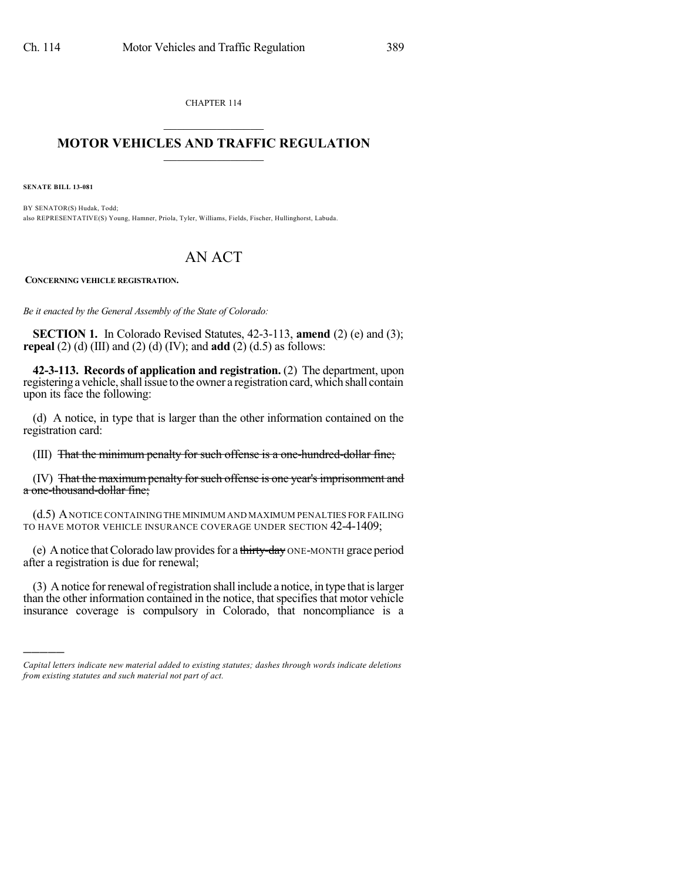CHAPTER 114  $\mathcal{L}_\text{max}$  . The set of the set of the set of the set of the set of the set of the set of the set of the set of the set of the set of the set of the set of the set of the set of the set of the set of the set of the set

## **MOTOR VEHICLES AND TRAFFIC REGULATION**  $\frac{1}{2}$  ,  $\frac{1}{2}$  ,  $\frac{1}{2}$  ,  $\frac{1}{2}$  ,  $\frac{1}{2}$  ,  $\frac{1}{2}$  ,  $\frac{1}{2}$

**SENATE BILL 13-081**

)))))

BY SENATOR(S) Hudak, Todd; also REPRESENTATIVE(S) Young, Hamner, Priola, Tyler, Williams, Fields, Fischer, Hullinghorst, Labuda.

## AN ACT

**CONCERNING VEHICLE REGISTRATION.**

*Be it enacted by the General Assembly of the State of Colorado:*

**SECTION 1.** In Colorado Revised Statutes, 42-3-113, **amend** (2) (e) and (3); **repeal** (2) (d) (III) and (2) (d) (IV); and **add** (2) (d.5) as follows:

**42-3-113. Records of application and registration.** (2) The department, upon registering a vehicle, shall issue to the owner a registration card, which shall contain upon its face the following:

(d) A notice, in type that is larger than the other information contained on the registration card:

(III) That the minimum penalty for such offense is a one-hundred-dollar fine;

(IV) That the maximum penalty for such offense is one year's imprisonment and a one-thousand-dollar fine;

(d.5) ANOTICE CONTAINING THE MINIMUM AND MAXIMUM PENALTIES FOR FAILING TO HAVE MOTOR VEHICLE INSURANCE COVERAGE UNDER SECTION 42-4-1409;

(e) A notice that Colorado law provides for a thirty-day ONE-MONTH grace period after a registration is due for renewal;

(3) A notice forrenewal ofregistration shall include a notice, in type that islarger than the other information contained in the notice, that specifies that motor vehicle insurance coverage is compulsory in Colorado, that noncompliance is a

*Capital letters indicate new material added to existing statutes; dashes through words indicate deletions from existing statutes and such material not part of act.*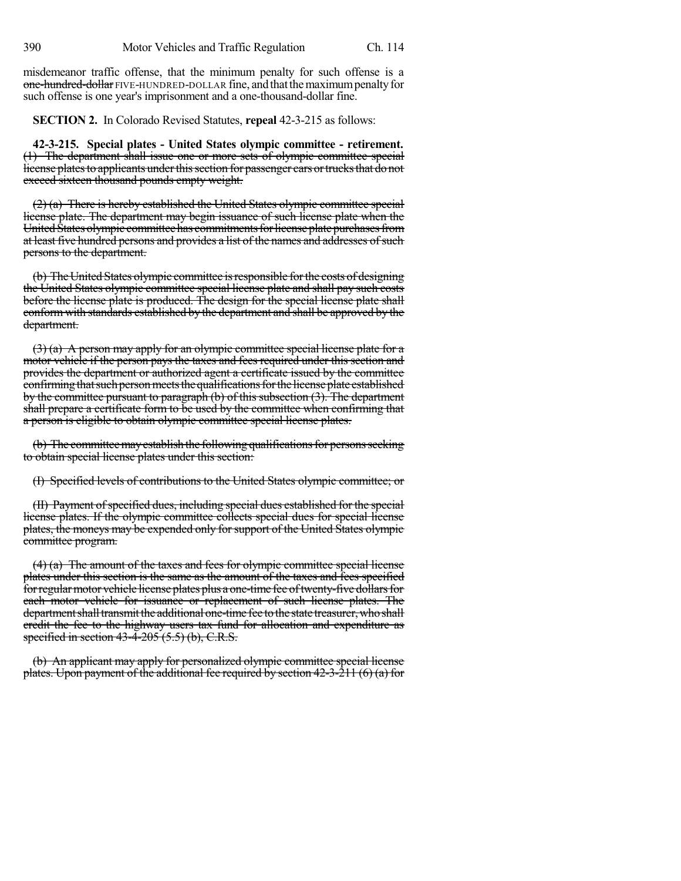misdemeanor traffic offense, that the minimum penalty for such offense is a one-hundred-dollar FIVE-HUNDRED-DOLLAR fine, and that the maximum penalty for such offense is one year's imprisonment and a one-thousand-dollar fine.

**SECTION 2.** In Colorado Revised Statutes, **repeal** 42-3-215 as follows:

**42-3-215. Special plates - United States olympic committee - retirement.** (1) The department shall issue one or more sets of olympic committee special license plates to applicants under this section for passenger cars or trucks that do not exceed sixteen thousand pounds empty weight.

(2) (a) There is hereby established the United States olympic committee special license plate. The department may begin issuance of such license plate when the United States olympic committee has commitments for license plate purchases from at least five hundred persons and provides a list of the names and addresses of such persons to the department.

(b) The United States olympic committee is responsible for the costs of designing the United States olympic committee special license plate and shall pay such costs before the license plate is produced. The design for the special license plate shall conformwith standards established by the department and shall be approved by the department.

 $(3)$  (a) A person may apply for an olympic committee special license plate for a motor vehicle if the person pays the taxes and fees required under this section and provides the department or authorized agent a certificate issued by the committee confirming that such person meets the qualifications for the license plate established by the committee pursuant to paragraph (b) of this subsection (3). The department shall prepare a certificate form to be used by the committee when confirming that a person is eligible to obtain olympic committee special license plates.

(b) The committee may establish the following qualifications for persons seeking to obtain special license plates under this section:

(I) Specified levels of contributions to the United States olympic committee; or

(II) Payment of specified dues, including special dues established for the special license plates. If the olympic committee collects special dues for special license plates, the moneys may be expended only for support of the United States olympic committee program.

(4) (a) The amount of the taxes and fees for olympic committee special license plates under this section is the same as the amount of the taxes and fees specified forregularmotor vehicle license plates plus a one-time fee oftwenty-five dollarsfor each motor vehicle for issuance or replacement of such license plates. The department shall transmit the additional one-time fee to the state treasurer, who shall credit the fee to the highway users tax fund for allocation and expenditure as specified in section  $43-\overline{4}$ -205  $(5.5)$  (b), C.R.S.

(b) An applicant may apply for personalized olympic committee special license plates. Upon payment of the additional fee required by section  $42-3-211$  (6) (a) for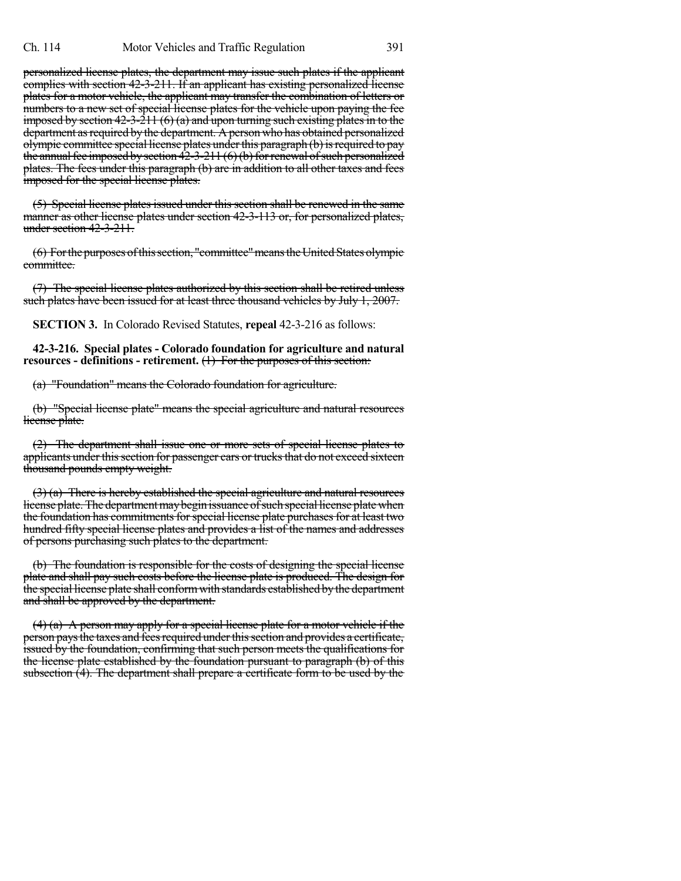personalized license plates, the department may issue such plates if the applicant complies with section 42-3-211. If an applicant has existing personalized license plates for a motor vehicle, the applicant may transfer the combination of letters or numbers to a new set of special license plates for the vehicle upon paying the fee imposed by section  $42-3-211(6)(a)$  and upon turning such existing plates in to the department as required by the department. A person who has obtained personalized olympic committee special license plates under this paragraph (b) is required to pay the annual fee imposed by section  $42-3-211$  (6)(b) for renewal of such personalized plates. The fees under this paragraph (b) are in addition to all other taxes and fees imposed for the special license plates.

(5) Special license plates issued under this section shall be renewed in the same manner as other license plates under section 42-3-113 or, for personalized plates, under section 42-3-211.

(6) For the purposes of this section, "committee" means the United States olympic committee.

(7) The special license plates authorized by this section shall be retired unless such plates have been issued for at least three thousand vehicles by July 1, 2007.

**SECTION 3.** In Colorado Revised Statutes, **repeal** 42-3-216 as follows:

**42-3-216. Special plates - Colorado foundation for agriculture and natural resources - definitions - retirement.** (1) For the purposes of this section:

(a) "Foundation" means the Colorado foundation for agriculture.

(b) "Special license plate" means the special agriculture and natural resources license plate.

(2) The department shall issue one or more sets of special license plates to applicants under this section for passenger cars or trucks that do not exceed sixteen thousand pounds empty weight.

(3) (a) There is hereby established the special agriculture and natural resources license plate. The department may begin issuance of such special license plate when the foundation has commitments for special license plate purchases for at least two hundred fifty special license plates and provides a list of the names and addresses of persons purchasing such plates to the department.

(b) The foundation is responsible for the costs of designing the special license plate and shall pay such costs before the license plate is produced. The design for the special license plate shall conform with standards established by the department and shall be approved by the department.

 $(4)$  (a) A person may apply for a special license plate for a motor vehicle if the person pays the taxes and fees required under this section and provides a certificate, issued by the foundation, confirming that such person meets the qualifications for the license plate established by the foundation pursuant to paragraph (b) of this subsection  $(4)$ . The department shall prepare a certificate form to be used by the